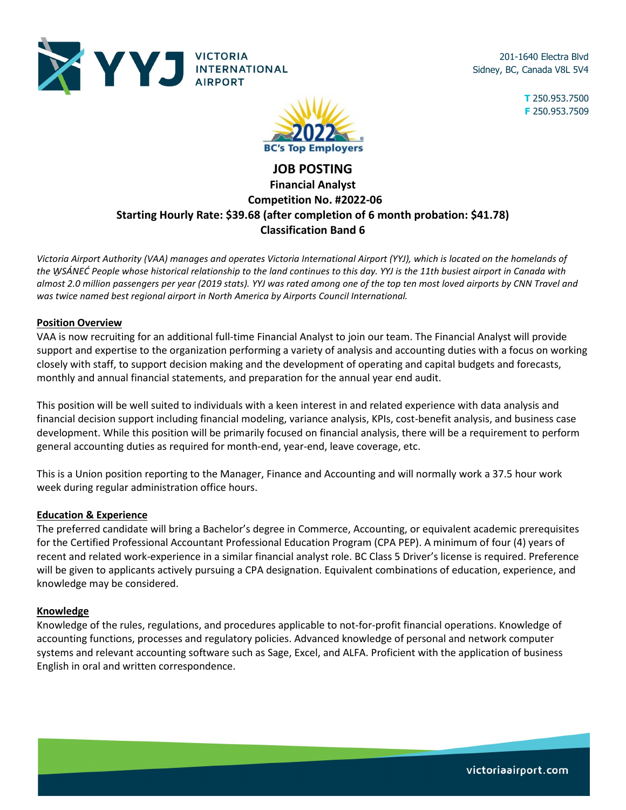

201-1640 Electra Blvd Sidney, BC, Canada V8L 5V4

> **T** 250.953.7500 **F** 250.953.7509



# **JOB POSTING Financial Analyst Competition No. #2022-06 Starting Hourly Rate: \$39.68 (after completion of 6 month probation: \$41.78) Classification Band 6**

*Victoria Airport Authority (VAA) manages and operates Victoria International Airport (YYJ), which is located on the homelands of the W̱SÁNEĆ People whose historical relationship to the land continues to this day. YYJ is the 11th busiest airport in Canada with almost 2.0 million passengers per year (2019 stats). YYJ was rated among one of the top ten most loved airports by CNN Travel and was twice named best regional airport in North America by Airports Council International.* 

## **Position Overview**

VAA is now recruiting for an additional full-time Financial Analyst to join our team. The Financial Analyst will provide support and expertise to the organization performing a variety of analysis and accounting duties with a focus on working closely with staff, to support decision making and the development of operating and capital budgets and forecasts, monthly and annual financial statements, and preparation for the annual year end audit.

This position will be well suited to individuals with a keen interest in and related experience with data analysis and financial decision support including financial modeling, variance analysis, KPIs, cost-benefit analysis, and business case development. While this position will be primarily focused on financial analysis, there will be a requirement to perform general accounting duties as required for month-end, year-end, leave coverage, etc.

This is a Union position reporting to the Manager, Finance and Accounting and will normally work a 37.5 hour work week during regular administration office hours.

## **Education & Experience**

The preferred candidate will bring a Bachelor's degree in Commerce, Accounting, or equivalent academic prerequisites for the Certified Professional Accountant Professional Education Program (CPA PEP). A minimum of four (4) years of recent and related work-experience in a similar financial analyst role. BC Class 5 Driver's license is required. Preference will be given to applicants actively pursuing a CPA designation. Equivalent combinations of education, experience, and knowledge may be considered.

### **Knowledge**

Knowledge of the rules, regulations, and procedures applicable to not-for-profit financial operations. Knowledge of accounting functions, processes and regulatory policies. Advanced knowledge of personal and network computer systems and relevant accounting software such as Sage, Excel, and ALFA. Proficient with the application of business English in oral and written correspondence.